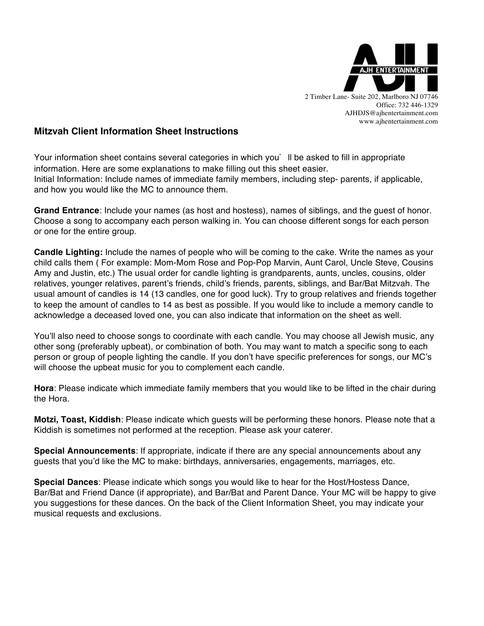

2 Timber Lane- Suite 202, Marlboro NJ 07746 Office: 732 446-1329 AJHDJS@ajhentertainment.com www.ajhentertainment.com

## **Mitzvah Client Information Sheet Instructions**

Your information sheet contains several categories in which you'll be asked to fill in appropriate information. Here are some explanations to make filling out this sheet easier. Initial Information: Include names of immediate family members, including step- parents, if applicable, and how you would like the MC to announce them.

**Grand Entrance**: Include your names (as host and hostess), names of siblings, and the guest of honor. Choose a song to accompany each person walking in. You can choose different songs for each person or one for the entire group.

**Candle Lighting:** Include the names of people who will be coming to the cake. Write the names as your child calls them ( For example: Mom-Mom Rose and Pop-Pop Marvin, Aunt Carol, Uncle Steve, Cousins Amy and Justin, etc.) The usual order for candle lighting is grandparents, aunts, uncles, cousins, older relatives, younger relatives, parent's friends, child's friends, parents, siblings, and Bar/Bat Mitzvah. The usual amount of candles is 14 (13 candles, one for good luck). Try to group relatives and friends together to keep the amount of candles to 14 as best as possible. If you would like to include a memory candle to acknowledge a deceased loved one, you can also indicate that information on the sheet as well.

You'll also need to choose songs to coordinate with each candle. You may choose all Jewish music, any other song (preferably upbeat), or combination of both. You may want to match a specific song to each person or group of people lighting the candle. If you don't have specific preferences for songs, our MC's will choose the upbeat music for you to complement each candle.

**Hora**: Please indicate which immediate family members that you would like to be lifted in the chair during the Hora.

**Motzi, Toast, Kiddish**: Please indicate which guests will be performing these honors. Please note that a Kiddish is sometimes not performed at the reception. Please ask your caterer.

**Special Announcements**: If appropriate, indicate if there are any special announcements about any guests that you'd like the MC to make: birthdays, anniversaries, engagements, marriages, etc.

**Special Dances**: Please indicate which songs you would like to hear for the Host/Hostess Dance, Bar/Bat and Friend Dance (if appropriate), and Bar/Bat and Parent Dance. Your MC will be happy to give you suggestions for these dances. On the back of the Client Information Sheet, you may indicate your musical requests and exclusions.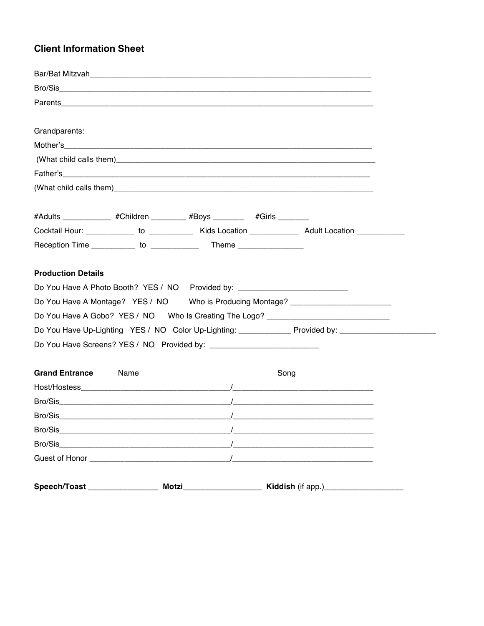## **Client Information Sheet**

|                                                                                                          |      |      | <u> 1980 - Jan Barat, margaret ar manar a shekara 1980 - An tsara 1980 - An tsara 1980 - An tsara 1980 - An tsar</u> |  |
|----------------------------------------------------------------------------------------------------------|------|------|----------------------------------------------------------------------------------------------------------------------|--|
|                                                                                                          |      |      |                                                                                                                      |  |
|                                                                                                          |      |      |                                                                                                                      |  |
|                                                                                                          |      |      |                                                                                                                      |  |
|                                                                                                          |      |      |                                                                                                                      |  |
| <b>Grand Entrance</b>                                                                                    | Name | Song |                                                                                                                      |  |
|                                                                                                          |      |      |                                                                                                                      |  |
| Do You Have Up-Lighting YES / NO Color Up-Lighting: _______________ Provided by: _____________           |      |      |                                                                                                                      |  |
| Do You Have A Gobo? YES / NO  Who Is Creating The Logo? ________________________                         |      |      |                                                                                                                      |  |
| Do You Have A Montage? YES / NO Who is Producing Montage? ______________________                         |      |      |                                                                                                                      |  |
| Do You Have A Photo Booth? YES / NO Provided by: _______________________________                         |      |      |                                                                                                                      |  |
| <b>Production Details</b>                                                                                |      |      |                                                                                                                      |  |
|                                                                                                          |      |      |                                                                                                                      |  |
|                                                                                                          |      |      |                                                                                                                      |  |
| Cocktail Hour: ______________ to _____________ Kids Location ______________ Adult Location _____________ |      |      |                                                                                                                      |  |
| #Adults ____________ #Children ________ #Boys _______  #Girls _______                                    |      |      |                                                                                                                      |  |
|                                                                                                          |      |      |                                                                                                                      |  |
|                                                                                                          |      |      |                                                                                                                      |  |
|                                                                                                          |      |      |                                                                                                                      |  |
|                                                                                                          |      |      |                                                                                                                      |  |
| Grandparents:                                                                                            |      |      |                                                                                                                      |  |
|                                                                                                          |      |      |                                                                                                                      |  |
|                                                                                                          |      |      |                                                                                                                      |  |
|                                                                                                          |      |      |                                                                                                                      |  |
|                                                                                                          |      |      |                                                                                                                      |  |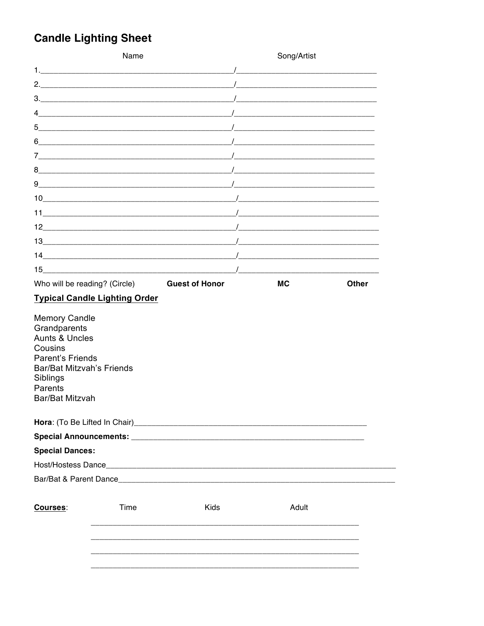## **Candle Lighting Sheet**

|                                                                                                                                                         | Name                                 |                                                                                                                                                       | Song/Artist                                                                                                                                                                                                                      |              |  |
|---------------------------------------------------------------------------------------------------------------------------------------------------------|--------------------------------------|-------------------------------------------------------------------------------------------------------------------------------------------------------|----------------------------------------------------------------------------------------------------------------------------------------------------------------------------------------------------------------------------------|--------------|--|
|                                                                                                                                                         |                                      |                                                                                                                                                       |                                                                                                                                                                                                                                  |              |  |
|                                                                                                                                                         |                                      |                                                                                                                                                       |                                                                                                                                                                                                                                  |              |  |
|                                                                                                                                                         |                                      |                                                                                                                                                       |                                                                                                                                                                                                                                  |              |  |
| 4                                                                                                                                                       |                                      | $\mathcal{L}$ . The contract of the contract of the contract of $\mathcal{L}$ , we can be contracted by the contract of the contract of $\mathcal{L}$ |                                                                                                                                                                                                                                  |              |  |
| 5                                                                                                                                                       |                                      |                                                                                                                                                       |                                                                                                                                                                                                                                  |              |  |
|                                                                                                                                                         |                                      |                                                                                                                                                       |                                                                                                                                                                                                                                  |              |  |
|                                                                                                                                                         |                                      |                                                                                                                                                       | <u> 1980 - Jan Barbarat, martin a shekara 1980 - An tsa a tsa a tsa a tsa a tsa a tsa a tsa a tsa a tsa a tsa a t</u>                                                                                                            |              |  |
|                                                                                                                                                         |                                      |                                                                                                                                                       |                                                                                                                                                                                                                                  |              |  |
| 9                                                                                                                                                       |                                      |                                                                                                                                                       |                                                                                                                                                                                                                                  |              |  |
|                                                                                                                                                         |                                      |                                                                                                                                                       |                                                                                                                                                                                                                                  |              |  |
|                                                                                                                                                         |                                      |                                                                                                                                                       | $\frac{1}{2}$ , and the contract of the contract of the contract of the contract of the contract of the contract of the contract of the contract of the contract of the contract of the contract of the contract of the contract |              |  |
|                                                                                                                                                         |                                      |                                                                                                                                                       |                                                                                                                                                                                                                                  |              |  |
|                                                                                                                                                         |                                      |                                                                                                                                                       |                                                                                                                                                                                                                                  |              |  |
|                                                                                                                                                         |                                      |                                                                                                                                                       |                                                                                                                                                                                                                                  |              |  |
| 15 <sub>1</sub>                                                                                                                                         |                                      |                                                                                                                                                       | $\sqrt{2}$                                                                                                                                                                                                                       |              |  |
| Who will be reading? (Circle)                                                                                                                           |                                      | <b>Guest of Honor</b>                                                                                                                                 | <b>MC</b>                                                                                                                                                                                                                        | <b>Other</b> |  |
|                                                                                                                                                         | <b>Typical Candle Lighting Order</b> |                                                                                                                                                       |                                                                                                                                                                                                                                  |              |  |
| <b>Memory Candle</b><br>Grandparents<br><b>Aunts &amp; Uncles</b><br>Cousins<br><b>Parent's Friends</b><br><b>Bar/Bat Mitzvah's Friends</b><br>Siblings |                                      |                                                                                                                                                       |                                                                                                                                                                                                                                  |              |  |
|                                                                                                                                                         |                                      |                                                                                                                                                       |                                                                                                                                                                                                                                  |              |  |
|                                                                                                                                                         |                                      |                                                                                                                                                       |                                                                                                                                                                                                                                  |              |  |
|                                                                                                                                                         |                                      |                                                                                                                                                       |                                                                                                                                                                                                                                  |              |  |
|                                                                                                                                                         |                                      |                                                                                                                                                       |                                                                                                                                                                                                                                  |              |  |
|                                                                                                                                                         |                                      |                                                                                                                                                       |                                                                                                                                                                                                                                  |              |  |
|                                                                                                                                                         |                                      |                                                                                                                                                       |                                                                                                                                                                                                                                  |              |  |
|                                                                                                                                                         |                                      |                                                                                                                                                       |                                                                                                                                                                                                                                  |              |  |
|                                                                                                                                                         | Time                                 | Kids                                                                                                                                                  | Adult                                                                                                                                                                                                                            |              |  |
|                                                                                                                                                         |                                      |                                                                                                                                                       |                                                                                                                                                                                                                                  |              |  |
| Parents<br>Bar/Bat Mitzvah<br><b>Special Dances:</b><br>Courses:                                                                                        |                                      |                                                                                                                                                       |                                                                                                                                                                                                                                  |              |  |